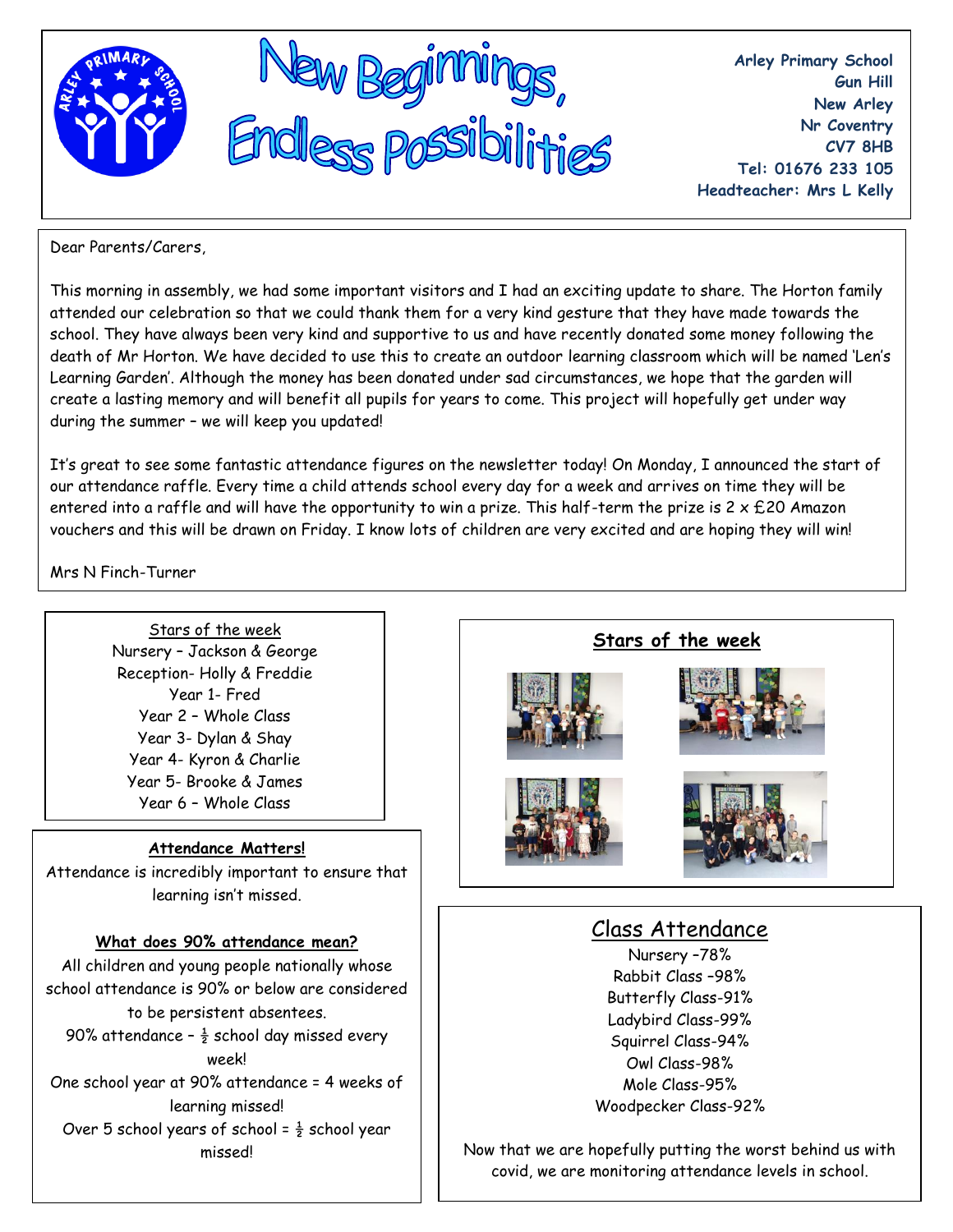

**Arley Primary School Gun Hill New Arley Nr Coventry CV7 8HB Tel: 01676 233 105 Headteacher: Mrs L Kelly**

Dear Parents/Carers,

This morning in assembly, we had some important visitors and I had an exciting update to share. The Horton family attended our celebration so that we could thank them for a very kind gesture that they have made towards the school. They have always been very kind and supportive to us and have recently donated some money following the death of Mr Horton. We have decided to use this to create an outdoor learning classroom which will be named 'Len's Learning Garden'. Although the money has been donated under sad circumstances, we hope that the garden will create a lasting memory and will benefit all pupils for years to come. This project will hopefully get under way during the summer – we will keep you updated!

It's great to see some fantastic attendance figures on the newsletter today! On Monday, I announced the start of our attendance raffle. Every time a child attends school every day for a week and arrives on time they will be entered into a raffle and will have the opportunity to win a prize. This half-term the prize is  $2 \times £20$  Amazon vouchers and this will be drawn on Friday. I know lots of children are very excited and are hoping they will win!

Mrs N Finch-Turner

Stars of the week Nursery – Jackson & George Reception- Holly & Freddie Year 1- Fred Year 2 – Whole Class Year 3- Dylan & Shay Year 4- Kyron & Charlie Year 5- Brooke & James Year 6 – Whole Class

#### **Attendance Matters!**

Attendance is incredibly important to ensure that learning isn't missed.

# **What does 90% attendance mean?**

All children and young people nationally whose school attendance is 90% or below are considered to be persistent absentees. 90% attendance -  $\frac{1}{2}$  school day missed every week! One school year at 90% attendance = 4 weeks of learning missed! Over 5 school years of school =  $\frac{1}{2}$  school year missed!



# Nursery –78% Rabbit Class –98% Butterfly Class-91% Ladybird Class-99% Squirrel Class-94% Owl Class-98% Mole Class-95% Woodpecker Class-92%

Now that we are hopefully putting the worst behind us with covid, we are monitoring attendance levels in school.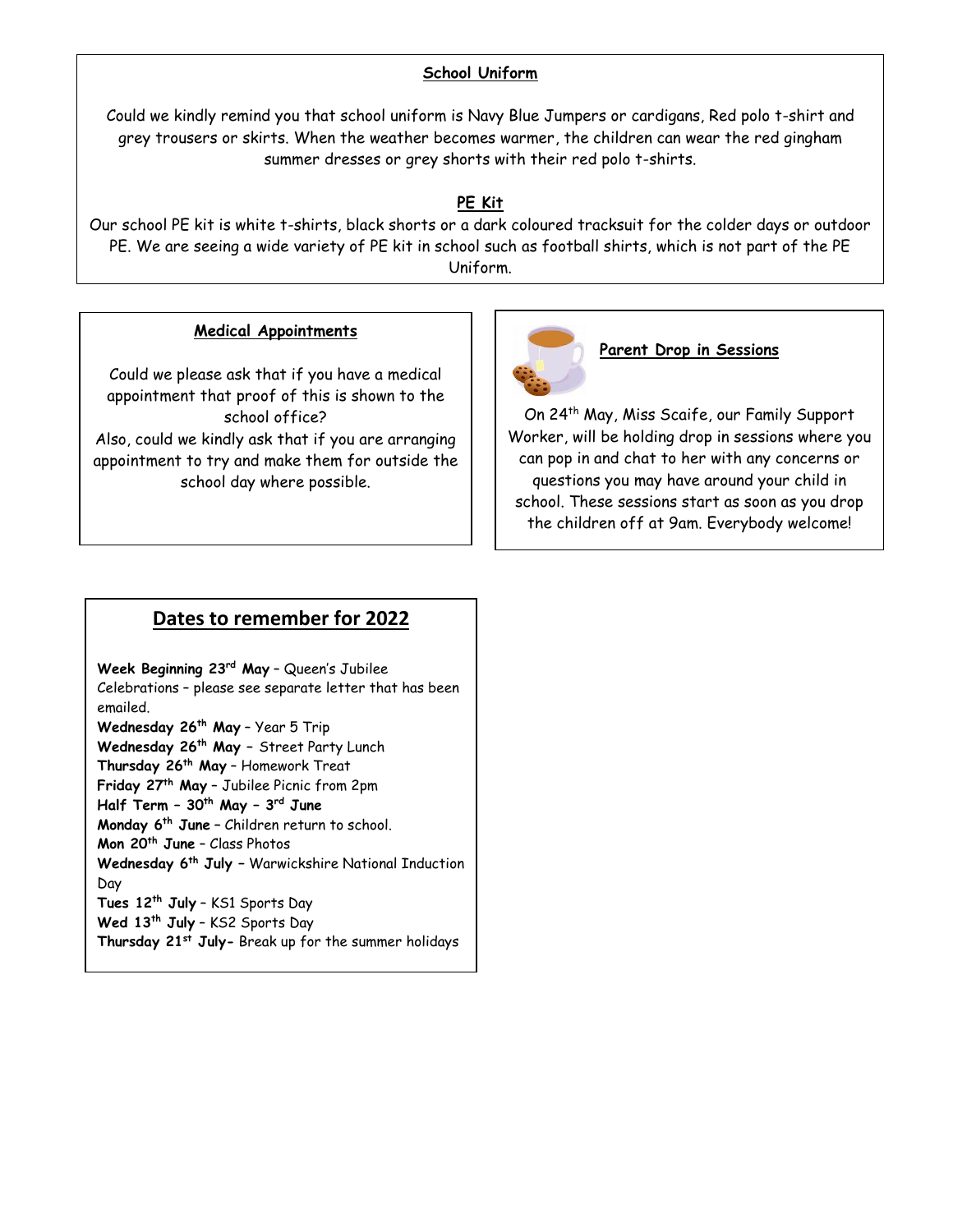#### **School Uniform**

Could we kindly remind you that school uniform is Navy Blue Jumpers or cardigans, Red polo t-shirt and grey trousers or skirts. When the weather becomes warmer, the children can wear the red gingham summer dresses or grey shorts with their red polo t-shirts.

# **PE Kit**

Our school PE kit is white t-shirts, black shorts or a dark coloured tracksuit for the colder days or outdoor PE. We are seeing a wide variety of PE kit in school such as football shirts, which is not part of the PE Uniform.

### **Medical Appointments**

Could we please ask that if you have a medical appointment that proof of this is shown to the school office? Also, could we kindly ask that if you are arranging appointment to try and make them for outside the school day where possible.



#### **Parent Drop in Sessions**

On 24th May, Miss Scaife, our Family Support Worker, will be holding drop in sessions where you can pop in and chat to her with any concerns or questions you may have around your child in school. These sessions start as soon as you drop the children off at 9am. Everybody welcome!

# **Dates to remember for 2022**

**Week Beginning 23rd May** – Queen's Jubilee Celebrations – please see separate letter that has been emailed. **Wednesday 26th May** – Year 5 Trip **Wednesday 26th May –** Street Party Lunch **Thursday 26th May** – Homework Treat **Friday 27th May** – Jubilee Picnic from 2pm **Half Term – 30th May – 3 rd June Monday 6th June –** Children return to school. **Mon 20th June** – Class Photos **Wednesday 6th July –** Warwickshire National Induction Day **Tues 12th July** – KS1 Sports Day **Wed 13th July** – KS2 Sports Day **Thursday 21st July-** Break up for the summer holidays